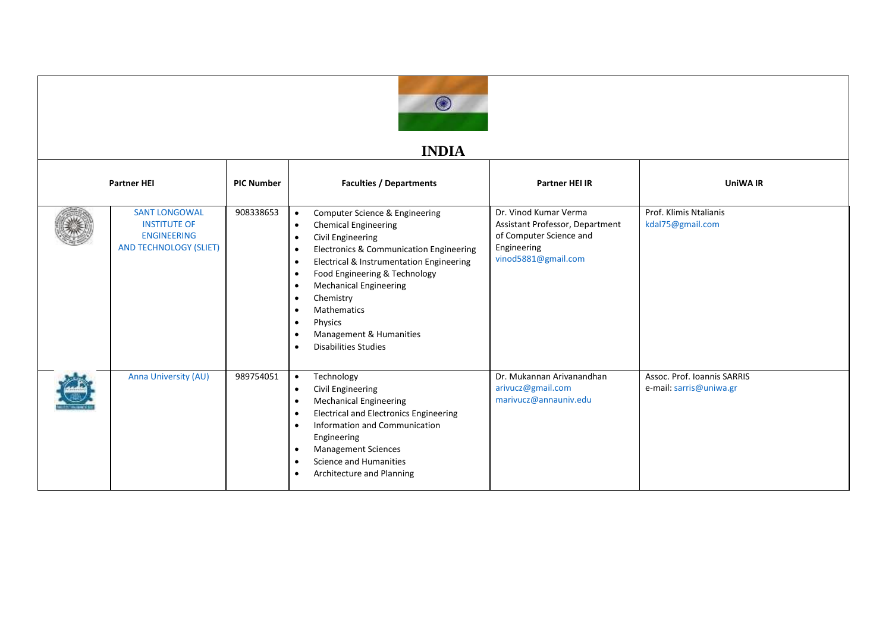

## **INDIA**

| <b>Partner HEI</b> |                                                                                                    | <b>PIC Number</b> | <b>Faculties / Departments</b>                                                                                                                                                                                                                                                                                                                                                                                                                                           | <b>Partner HEI IR</b>                                                                                                     | UniWA IR                                               |
|--------------------|----------------------------------------------------------------------------------------------------|-------------------|--------------------------------------------------------------------------------------------------------------------------------------------------------------------------------------------------------------------------------------------------------------------------------------------------------------------------------------------------------------------------------------------------------------------------------------------------------------------------|---------------------------------------------------------------------------------------------------------------------------|--------------------------------------------------------|
|                    | <b>SANT LONGOWAL</b><br><b>INSTITUTE OF</b><br><b>ENGINEERING</b><br><b>AND TECHNOLOGY (SLIET)</b> | 908338653         | Computer Science & Engineering<br><b>Chemical Engineering</b><br>$\bullet$<br>Civil Engineering<br>Electronics & Communication Engineering<br>$\bullet$<br>Electrical & Instrumentation Engineering<br>$\bullet$<br>Food Engineering & Technology<br>$\bullet$<br><b>Mechanical Engineering</b><br>$\bullet$<br>Chemistry<br>$\bullet$<br><b>Mathematics</b><br>$\bullet$<br>Physics<br>$\bullet$<br>Management & Humanities<br><b>Disabilities Studies</b><br>$\bullet$ | Dr. Vinod Kumar Verma<br>Assistant Professor, Department<br>of Computer Science and<br>Engineering<br>vinod5881@gmail.com | Prof. Klimis Ntalianis<br>kdal75@gmail.com             |
|                    | Anna University (AU)                                                                               | 989754051         | Technology<br>$\bullet$<br>Civil Engineering<br>$\bullet$<br><b>Mechanical Engineering</b><br>$\bullet$<br><b>Electrical and Electronics Engineering</b><br>$\bullet$<br>Information and Communication<br>$\bullet$<br>Engineering<br><b>Management Sciences</b><br>$\bullet$<br>Science and Humanities<br>$\bullet$<br>Architecture and Planning                                                                                                                        | Dr. Mukannan Arivanandhan<br>arivucz@gmail.com<br>marivucz@annauniv.edu                                                   | Assoc. Prof. Ioannis SARRIS<br>e-mail: sarris@uniwa.gr |